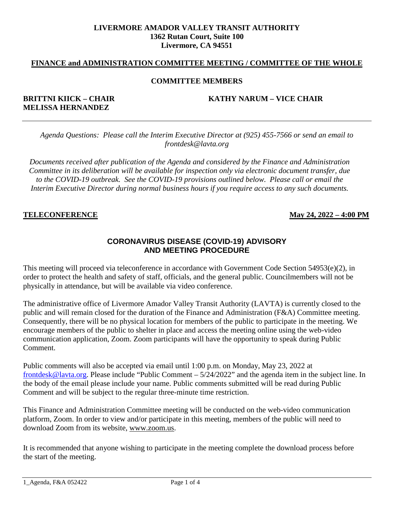#### **LIVERMORE AMADOR VALLEY TRANSIT AUTHORITY 1362 Rutan Court, Suite 100 Livermore, CA 94551**

#### **FINANCE and ADMINISTRATION COMMITTEE MEETING / COMMITTEE OF THE WHOLE**

#### **COMMITTEE MEMBERS**

# **MELISSA HERNANDEZ**

#### **BRITTNI KIICK – CHAIR KATHY NARUM – VICE CHAIR**

*Agenda Questions: Please call the Interim Executive Director at (925) 455-7566 or send an email to frontdesk@lavta.org*

*Documents received after publication of the Agenda and considered by the Finance and Administration Committee in its deliberation will be available for inspection only via electronic document transfer, due to the COVID-19 outbreak. See the COVID-19 provisions outlined below. Please call or email the Interim Executive Director during normal business hours if you require access to any such documents.*

#### **TELECONFERENCE May 24, 2022 – 4:00 PM**

#### **CORONAVIRUS DISEASE (COVID-19) ADVISORY AND MEETING PROCEDURE**

This meeting will proceed via teleconference in accordance with Government Code Section 54953(e)(2), in order to protect the health and safety of staff, officials, and the general public. Councilmembers will not be physically in attendance, but will be available via video conference.

The administrative office of Livermore Amador Valley Transit Authority (LAVTA) is currently closed to the public and will remain closed for the duration of the Finance and Administration (F&A) Committee meeting. Consequently, there will be no physical location for members of the public to participate in the meeting. We encourage members of the public to shelter in place and access the meeting online using the web-video communication application, Zoom. Zoom participants will have the opportunity to speak during Public Comment.

Public comments will also be accepted via email until 1:00 p.m. on Monday, May 23, 2022 a[t](mailto:%20frontdesk@lavta.org) [frontdesk@lavta.org.](mailto:%20frontdesk@lavta.org) Please include "Public Comment – 5/24/2022" and the agenda item in the subject line. In the body of the email please include your name. Public comments submitted will be read during Public Comment and will be subject to the regular three-minute time restriction.

This Finance and Administration Committee meeting will be conducted on the web-video communication platform, Zoom. In order to view and/or participate in this meeting, members of the public will need to download Zoom from its website, [www.zoom.us.](http://www.zoom.us/)

It is recommended that anyone wishing to participate in the meeting complete the download process before the start of the meeting.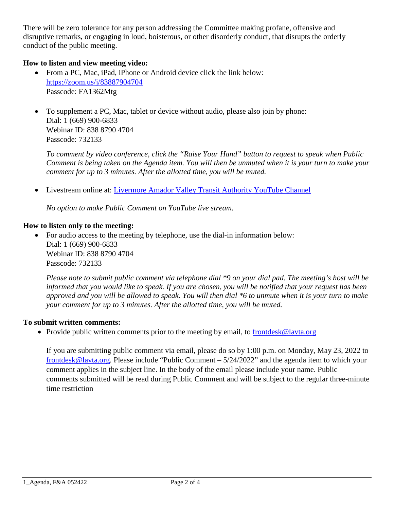There will be zero tolerance for any person addressing the Committee making profane, offensive and disruptive remarks, or engaging in loud, boisterous, or other disorderly conduct, that disrupts the orderly conduct of the public meeting.

# **How to listen and view meeting video:**

- From a PC, Mac, iPad, iPhone or Android device click the link below: [https://zoom.us/j/83887904704](https://us02web.zoom.us/j/83887904704?pwd=NjJFc3U0bWVlRFlyWm9kcGdXSjlNZz09) Passcode: FA1362Mtg
- To supplement a PC, Mac, tablet or device without audio, please also join by phone: Dial: 1 (669) 900-6833 Webinar ID: 838 8790 4704 Passcode: 732133

*To comment by video conference, click the "Raise Your Hand" button to request to speak when Public Comment is being taken on the Agenda item. You will then be unmuted when it is your turn to make your comment for up to 3 minutes. After the allotted time, you will be muted.* 

• Livestream online at: [Livermore Amador Valley Transit Authority YouTube Channel](https://www.youtube.com/channel/UCRBWx1FANoSjlD0O0atdiPw)

*No option to make Public Comment on YouTube live stream.*

# **How to listen only to the meeting:**

• For audio access to the meeting by telephone, use the dial-in information below: Dial: 1 (669) 900-6833 Webinar ID: 838 8790 4704 Passcode: 732133

*Please note to submit public comment via telephone dial \*9 on your dial pad. The meeting's host will be informed that you would like to speak. If you are chosen, you will be notified that your request has been approved and you will be allowed to speak. You will then dial \*6 to unmute when it is your turn to make your comment for up to 3 minutes. After the allotted time, you will be muted.*

#### **To submit written comments:**

• Provide public written comments prior to the meeting by email, to [frontdesk@lavta.org](mailto:frontdesk@lavta.org)

If you are submitting public comment via email, please do so by 1:00 p.m. on Monday, May 23, 2022 to [frontdesk@lavta.org.](mailto:frontdesk@lavta.org) Please include "Public Comment – 5/24/2022" and the agenda item to which your comment applies in the subject line. In the body of the email please include your name. Public comments submitted will be read during Public Comment and will be subject to the regular three-minute time restriction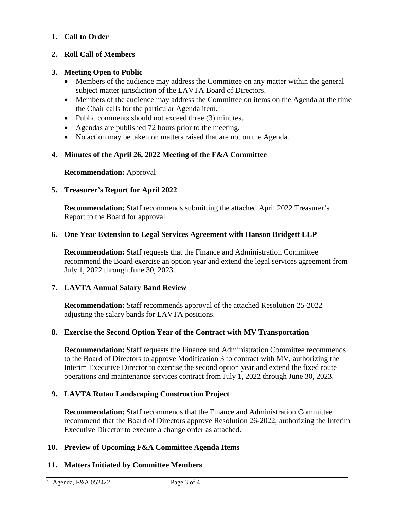# **1. Call to Order**

# **2. Roll Call of Members**

# **3. Meeting Open to Public**

- Members of the audience may address the Committee on any matter within the general subject matter jurisdiction of the LAVTA Board of Directors.
- Members of the audience may address the Committee on items on the Agenda at the time the Chair calls for the particular Agenda item.
- Public comments should not exceed three (3) minutes.
- Agendas are published 72 hours prior to the meeting.
- No action may be taken on matters raised that are not on the Agenda.

# **4. Minutes of the April 26, 2022 Meeting of the F&A Committee**

#### **Recommendation:** Approval

# **5. Treasurer's Report for April 2022**

**Recommendation:** Staff recommends submitting the attached April 2022 Treasurer's Report to the Board for approval.

#### **6. One Year Extension to Legal Services Agreement with Hanson Bridgett LLP**

**Recommendation:** Staff requests that the Finance and Administration Committee recommend the Board exercise an option year and extend the legal services agreement from July 1, 2022 through June 30, 2023.

#### **7. LAVTA Annual Salary Band Review**

**Recommendation:** Staff recommends approval of the attached Resolution 25-2022 adjusting the salary bands for LAVTA positions.

# **8. Exercise the Second Option Year of the Contract with MV Transportation**

**Recommendation:** Staff requests the Finance and Administration Committee recommends to the Board of Directors to approve Modification 3 to contract with MV, authorizing the Interim Executive Director to exercise the second option year and extend the fixed route operations and maintenance services contract from July 1, 2022 through June 30, 2023.

# **9. LAVTA Rutan Landscaping Construction Project**

**Recommendation:** Staff recommends that the Finance and Administration Committee recommend that the Board of Directors approve Resolution 26-2022, authorizing the Interim Executive Director to execute a change order as attached.

#### **10. Preview of Upcoming F&A Committee Agenda Items**

# **11. Matters Initiated by Committee Members**